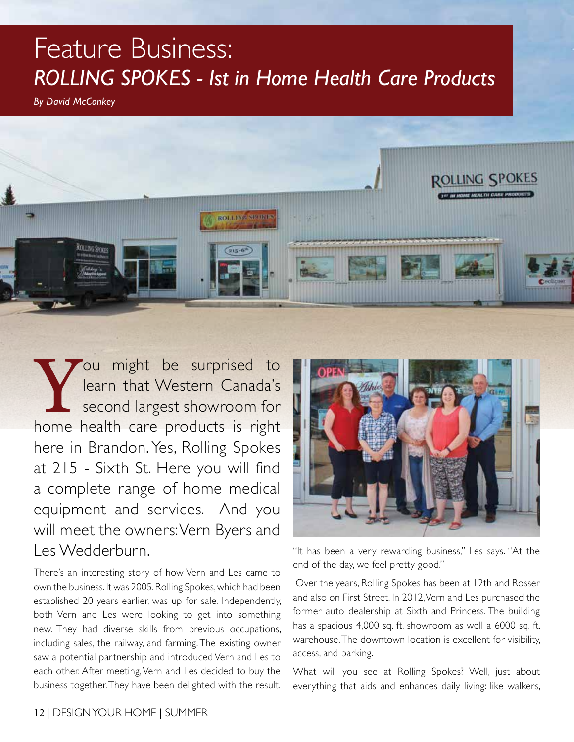## Feature Business: *Rolling Spokes - Ist in Home Health Care Products*

*By David McConkey*



You might be surprised to<br>learn that Western Canada's<br>second largest showroom for<br>home health care products is right learn that Western Canada's second largest showroom for home health care products is right here in Brandon. Yes, Rolling Spokes at 215 - Sixth St. Here you will find a complete range of home medical equipment and services. And you will meet the owners: Vern Byers and Les Wedderburn.

There's an interesting story of how Vern and Les came to own the business. It was 2005. Rolling Spokes, which had been established 20 years earlier, was up for sale. Independently, both Vern and Les were looking to get into something new. They had diverse skills from previous occupations, including sales, the railway, and farming. The existing owner saw a potential partnership and introduced Vern and Les to each other. After meeting, Vern and Les decided to buy the business together. They have been delighted with the result.



"It has been a very rewarding business," Les says. "At the end of the day, we feel pretty good."

 Over the years, Rolling Spokes has been at 12th and Rosser and also on First Street. In 2012, Vern and Les purchased the former auto dealership at Sixth and Princess. The building has a spacious 4,000 sq. ft. showroom as well a 6000 sq. ft. warehouse. The downtown location is excellent for visibility, access, and parking.

What will you see at Rolling Spokes? Well, just about everything that aids and enhances daily living: like walkers,